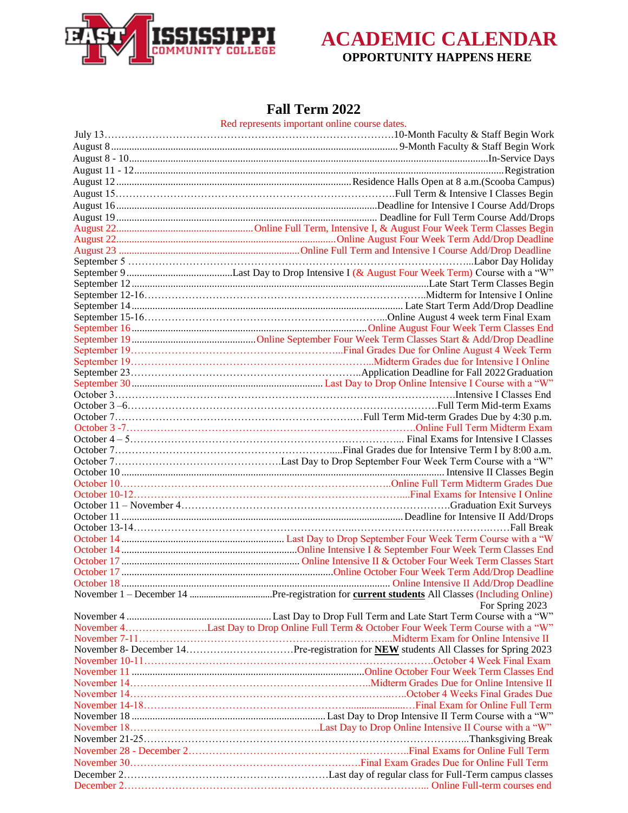



#### **Fall Term 2022**

Red represents important online course dates.

| For Spring 2023                                                                        |
|----------------------------------------------------------------------------------------|
|                                                                                        |
| November 4Last Day to Drop Online Full Term & October Four Week Term Course with a "W" |
|                                                                                        |
|                                                                                        |
|                                                                                        |
|                                                                                        |
|                                                                                        |
|                                                                                        |
|                                                                                        |
|                                                                                        |
|                                                                                        |
|                                                                                        |
|                                                                                        |
|                                                                                        |
|                                                                                        |
|                                                                                        |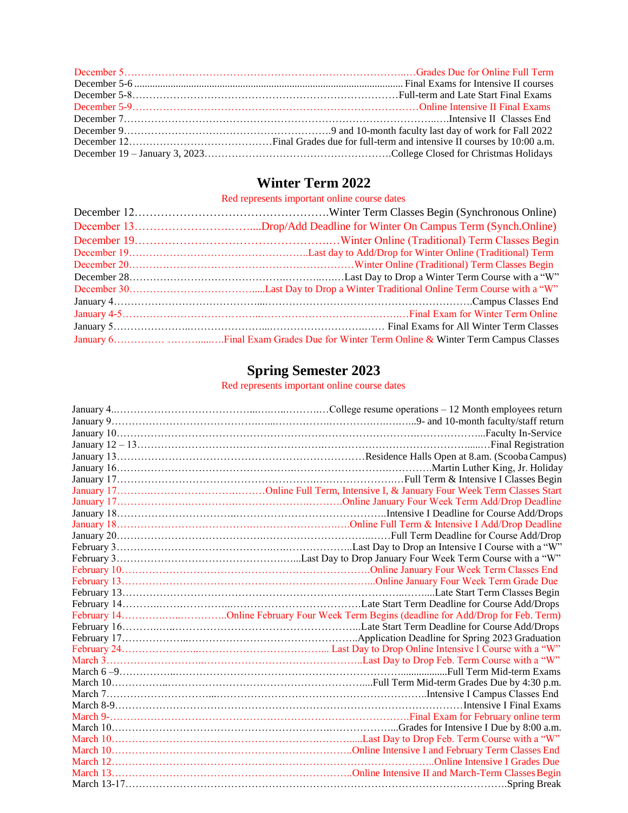## **Winter Term 2022**

Red represents important online course dates

# **Spring Semester 2023**

Red represents important online course dates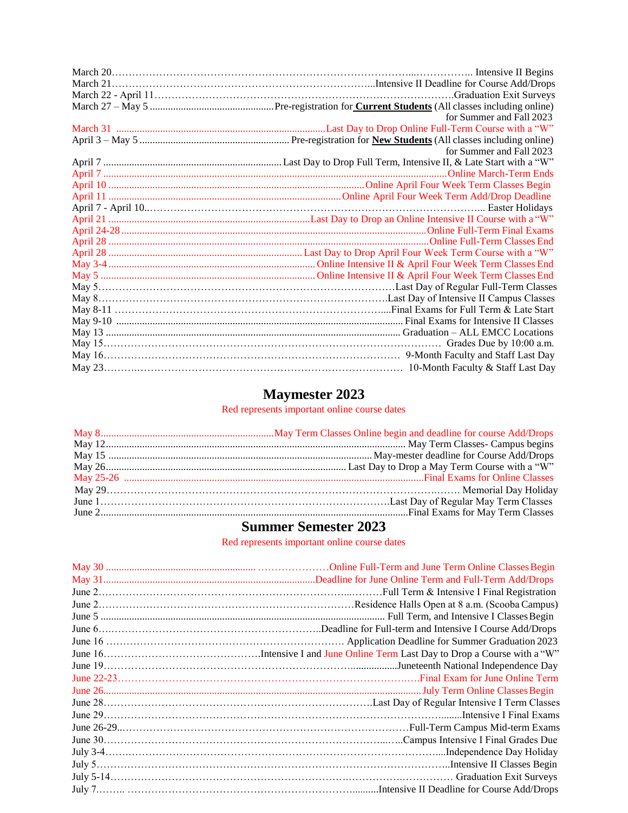|  | for Summer and Fall 2023 |
|--|--------------------------|
|  |                          |
|  |                          |
|  | for Summer and Fall 2023 |
|  |                          |
|  |                          |
|  |                          |
|  |                          |
|  |                          |
|  |                          |
|  |                          |
|  |                          |
|  |                          |
|  |                          |
|  |                          |
|  |                          |
|  |                          |
|  |                          |
|  |                          |
|  |                          |
|  |                          |
|  |                          |
|  |                          |

# **Maymester 2023**

Red represents important online course dates

### **Summer Semester 2023**

Red represents important online course dates